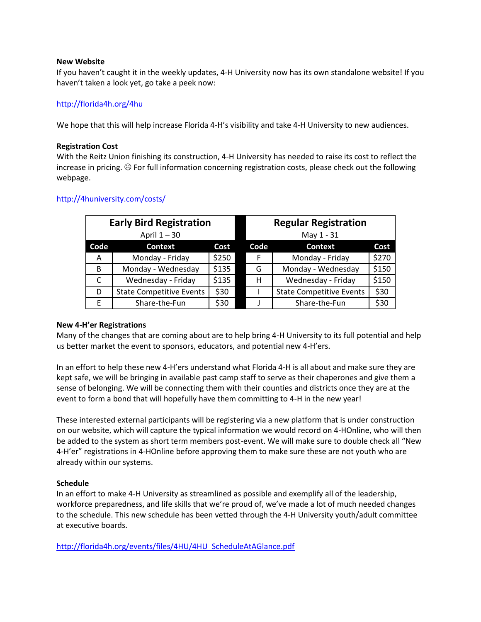### **New Website**

If you haven't caught it in the weekly updates, 4-H University now has its own standalone website! If you haven't taken a look yet, go take a peek now:

# <http://florida4h.org/4hu>

We hope that this will help increase Florida 4-H's visibility and take 4-H University to new audiences.

## **Registration Cost**

With the Reitz Union finishing its construction, 4-H University has needed to raise its cost to reflect the increase in pricing.  $\circledcirc$  For full information concerning registration costs, please check out the following webpage.

| <b>Early Bird Registration</b> |                                 |       |  | <b>Regular Registration</b> |                                 |       |
|--------------------------------|---------------------------------|-------|--|-----------------------------|---------------------------------|-------|
| April $1 - 30$                 |                                 |       |  | May 1 - 31                  |                                 |       |
| Code                           | <b>Context</b>                  | Cost  |  | Code                        | <b>Context</b>                  | Cost  |
| Α                              | Monday - Friday                 | \$250 |  | F                           | Monday - Friday                 | \$270 |
| B                              | Monday - Wednesday              | \$135 |  | G                           | Monday - Wednesday              | \$150 |
| C                              | Wednesday - Friday              | \$135 |  | н                           | Wednesday - Friday              | \$150 |
| D                              | <b>State Competitive Events</b> | \$30  |  |                             | <b>State Competitive Events</b> | \$30  |
| E                              | Share-the-Fun                   | \$30  |  |                             | Share-the-Fun                   | \$30  |

## <http://4huniversity.com/costs/>

## **New 4-H'er Registrations**

Many of the changes that are coming about are to help bring 4-H University to its full potential and help us better market the event to sponsors, educators, and potential new 4-H'ers.

In an effort to help these new 4-H'ers understand what Florida 4-H is all about and make sure they are kept safe, we will be bringing in available past camp staff to serve as their chaperones and give them a sense of belonging. We will be connecting them with their counties and districts once they are at the event to form a bond that will hopefully have them committing to 4-H in the new year!

These interested external participants will be registering via a new platform that is under construction on our website, which will capture the typical information we would record on 4-HOnline, who will then be added to the system as short term members post-event. We will make sure to double check all "New 4-H'er" registrations in 4-HOnline before approving them to make sure these are not youth who are already within our systems.

## **Schedule**

In an effort to make 4-H University as streamlined as possible and exemplify all of the leadership, workforce preparedness, and life skills that we're proud of, we've made a lot of much needed changes to the schedule. This new schedule has been vetted through the 4-H University youth/adult committee at executive boards.

[http://florida4h.org/events/files/4HU/4HU\\_ScheduleAtAGlance.pdf](http://florida4h.org/events/files/4HU/4HU_ScheduleAtAGlance.pdf)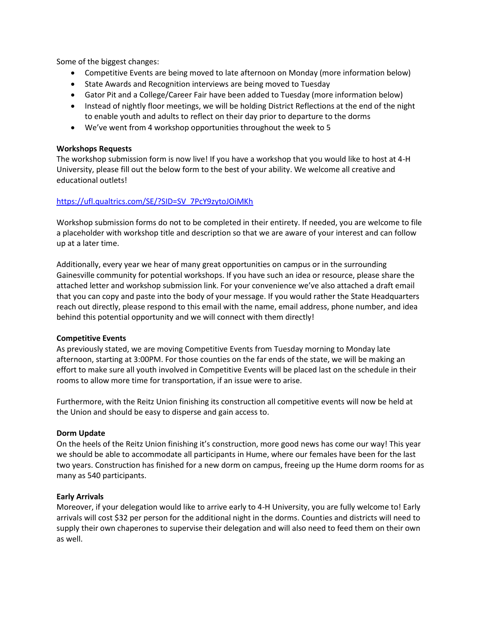Some of the biggest changes:

- Competitive Events are being moved to late afternoon on Monday (more information below)
- State Awards and Recognition interviews are being moved to Tuesday
- Gator Pit and a College/Career Fair have been added to Tuesday (more information below)
- Instead of nightly floor meetings, we will be holding District Reflections at the end of the night to enable youth and adults to reflect on their day prior to departure to the dorms
- We've went from 4 workshop opportunities throughout the week to 5

### **Workshops Requests**

The workshop submission form is now live! If you have a workshop that you would like to host at 4-H University, please fill out the below form to the best of your ability. We welcome all creative and educational outlets!

## [https://ufl.qualtrics.com/SE/?SID=SV\\_7PcY9zytoJOiMKh](https://ufl.qualtrics.com/SE/?SID=SV_7PcY9zytoJOiMKh)

Workshop submission forms do not to be completed in their entirety. If needed, you are welcome to file a placeholder with workshop title and description so that we are aware of your interest and can follow up at a later time.

Additionally, every year we hear of many great opportunities on campus or in the surrounding Gainesville community for potential workshops. If you have such an idea or resource, please share the attached letter and workshop submission link. For your convenience we've also attached a draft email that you can copy and paste into the body of your message. If you would rather the State Headquarters reach out directly, please respond to this email with the name, email address, phone number, and idea behind this potential opportunity and we will connect with them directly!

### **Competitive Events**

As previously stated, we are moving Competitive Events from Tuesday morning to Monday late afternoon, starting at 3:00PM. For those counties on the far ends of the state, we will be making an effort to make sure all youth involved in Competitive Events will be placed last on the schedule in their rooms to allow more time for transportation, if an issue were to arise.

Furthermore, with the Reitz Union finishing its construction all competitive events will now be held at the Union and should be easy to disperse and gain access to.

### **Dorm Update**

On the heels of the Reitz Union finishing it's construction, more good news has come our way! This year we should be able to accommodate all participants in Hume, where our females have been for the last two years. Construction has finished for a new dorm on campus, freeing up the Hume dorm rooms for as many as 540 participants.

### **Early Arrivals**

Moreover, if your delegation would like to arrive early to 4-H University, you are fully welcome to! Early arrivals will cost \$32 per person for the additional night in the dorms. Counties and districts will need to supply their own chaperones to supervise their delegation and will also need to feed them on their own as well.